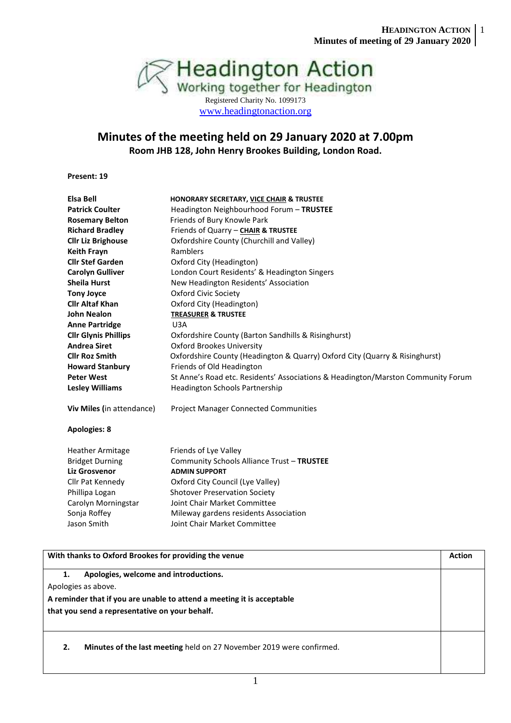

### **Minutes of the meeting held on 29 January 2020 at 7.00pm Room JHB 128, John Henry Brookes Building, London Road.**

**Present: 19**

| <b>Elsa Bell</b>            | HONORARY SECRETARY, VICE CHAIR & TRUSTEE                                         |
|-----------------------------|----------------------------------------------------------------------------------|
| <b>Patrick Coulter</b>      | Headington Neighbourhood Forum - TRUSTEE                                         |
| <b>Rosemary Belton</b>      | Friends of Bury Knowle Park                                                      |
| <b>Richard Bradley</b>      | Friends of Quarry - CHAIR & TRUSTEE                                              |
| <b>Cllr Liz Brighouse</b>   | Oxfordshire County (Churchill and Valley)                                        |
| <b>Keith Frayn</b>          | Ramblers                                                                         |
| <b>Cllr Stef Garden</b>     | Oxford City (Headington)                                                         |
| <b>Carolyn Gulliver</b>     | London Court Residents' & Headington Singers                                     |
| <b>Sheila Hurst</b>         | New Headington Residents' Association                                            |
| <b>Tony Joyce</b>           | Oxford Civic Society                                                             |
| <b>Cllr Altaf Khan</b>      | Oxford City (Headington)                                                         |
| <b>John Nealon</b>          | <b>TREASURER &amp; TRUSTEE</b>                                                   |
| <b>Anne Partridge</b>       | U3A                                                                              |
| <b>Cllr Glynis Phillips</b> | Oxfordshire County (Barton Sandhills & Risinghurst)                              |
| <b>Andrea Siret</b>         | <b>Oxford Brookes University</b>                                                 |
| <b>Cllr Roz Smith</b>       | Oxfordshire County (Headington & Quarry) Oxford City (Quarry & Risinghurst)      |
| <b>Howard Stanbury</b>      | Friends of Old Headington                                                        |
| <b>Peter West</b>           | St Anne's Road etc. Residents' Associations & Headington/Marston Community Forum |
| <b>Lesley Williams</b>      | <b>Headington Schools Partnership</b>                                            |
| Viv Miles (in attendance)   | <b>Project Manager Connected Communities</b>                                     |
| <b>Apologies: 8</b>         |                                                                                  |
| <b>Heather Armitage</b>     | Friends of Lye Valley                                                            |
| <b>Bridget Durning</b>      | Community Schools Alliance Trust - TRUSTEE                                       |
| <b>Liz Grosvenor</b>        | <b>ADMIN SUPPORT</b>                                                             |
| Cllr Pat Kennedy            | Oxford City Council (Lye Valley)                                                 |
| Phillipa Logan              | <b>Shotover Preservation Society</b>                                             |
| Carolyn Morningstar         | Joint Chair Market Committee                                                     |
| Sonja Roffey                | Mileway gardens residents Association                                            |
| Jason Smith                 | Joint Chair Market Committee                                                     |

# **With thanks to Oxford Brookes for providing the venue Action Action Action Action** Action **1. Apologies, welcome and introductions.** Apologies as above. **A reminder that if you are unable to attend a meeting it is acceptable that you send a representative on your behalf. 2. Minutes of the last meeting** held on 27 November 2019 were confirmed.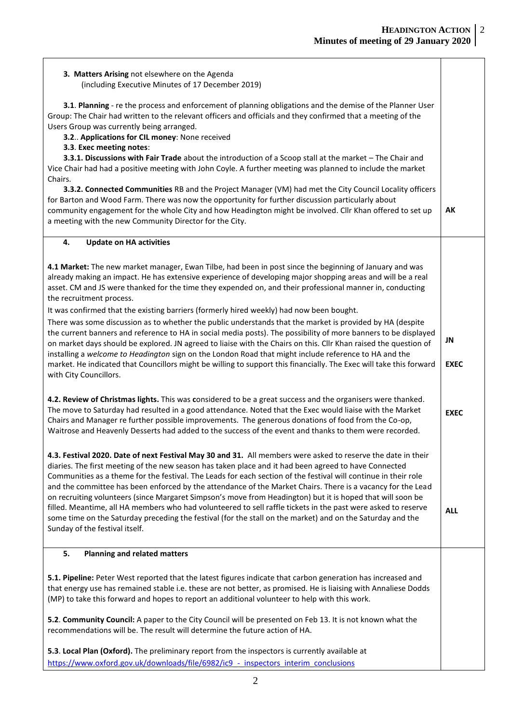**EXEC**

## **3. Matters Arising** not elsewhere on the Agenda

(including Executive Minutes of 17 December 2019)

 **3.1**. **Planning** - re the process and enforcement of planning obligations and the demise of the Planner User Group: The Chair had written to the relevant officers and officials and they confirmed that a meeting of the Users Group was currently being arranged.

 **3.2**.. **Applications for CIL money**: None received

 **3.3**. **Exec meeting notes**:

 **3.3.1. Discussions with Fair Trade** about the introduction of a Scoop stall at the market – The Chair and Vice Chair had had a positive meeting with John Coyle. A further meeting was planned to include the market Chairs.

 **3.3.2. Connected Communities** RB and the Project Manager (VM) had met the City Council Locality officers for Barton and Wood Farm. There was now the opportunity for further discussion particularly about community engagement for the whole City and how Headington might be involved. Cllr Khan offered to set up a meeting with the new Community Director for the City. **AK**

#### **4. Update on HA activities**

**4.1 Market:** The new market manager, Ewan Tilbe, had been in post since the beginning of January and was already making an impact. He has extensive experience of developing major shopping areas and will be a real asset. CM and JS were thanked for the time they expended on, and their professional manner in, conducting the recruitment process.

It was confirmed that the existing barriers (formerly hired weekly) had now been bought.

There was some discussion as to whether the public understands that the market is provided by HA (despite the current banners and reference to HA in social media posts). The possibility of more banners to be displayed on market days should be explored. JN agreed to liaise with the Chairs on this. Cllr Khan raised the question of installing a *welcome to Headington* sign on the London Road that might include reference to HA and the market. He indicated that Councillors might be willing to support this financially. The Exec will take this forward with City Councillors. **JN EXEC**

**4.2. Review of Christmas lights.** This was **c**onsidered to be a great success and the organisers were thanked. The move to Saturday had resulted in a good attendance. Noted that the Exec would liaise with the Market Chairs and Manager re further possible improvements. The generous donations of food from the Co-op, Waitrose and Heavenly Desserts had added to the success of the event and thanks to them were recorded.

**4.3. Festival 2020. Date of next Festival May 30 and 31.** All members were asked to reserve the date in their diaries. The first meeting of the new season has taken place and it had been agreed to have Connected Communities as a theme for the festival. The Leads for each section of the festival will continue in their role and the committee has been enforced by the attendance of the Market Chairs. There is a vacancy for the Lead on recruiting volunteers (since Margaret Simpson's move from Headington) but it is hoped that will soon be filled. Meantime, all HA members who had volunteered to sell raffle tickets in the past were asked to reserve some time on the Saturday preceding the festival (for the stall on the market) and on the Saturday and the Sunday of the festival itself. **ALL**

### **5. Planning and related matters**

**5.1. Pipeline:** Peter West reported that the latest figures indicate that carbon generation has increased and that energy use has remained stable i.e. these are not better, as promised. He is liaising with Annaliese Dodds (MP) to take this forward and hopes to report an additional volunteer to help with this work.

**5.2**. **Community Council:** A paper to the City Council will be presented on Feb 13. It is not known what the recommendations will be. The result will determine the future action of HA.

**5.3**. **Local Plan (Oxford).** The preliminary report from the inspectors is currently available at https://www.oxford.gov.uk/downloads/file/6982/ic9 - inspectors\_interim\_conclusions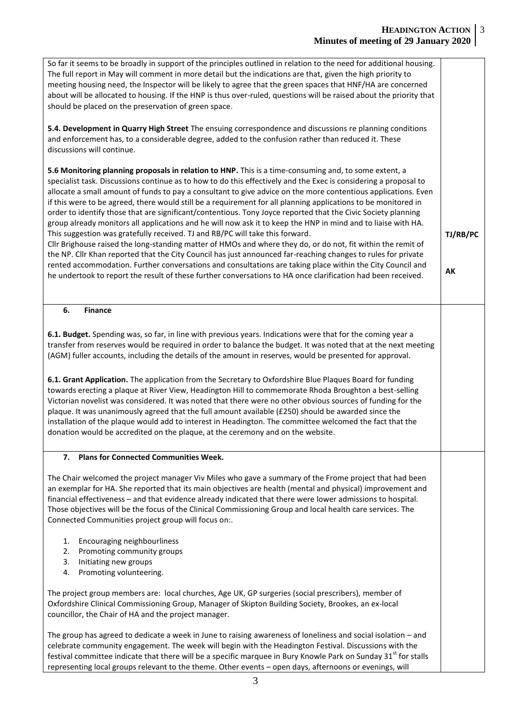| So far it seems to be broadly in support of the principles outlined in relation to the need for additional housing.<br>The full report in May will comment in more detail but the indications are that, given the high priority to<br>meeting housing need, the Inspector will be likely to agree that the green spaces that HNF/HA are concerned<br>about will be allocated to housing. If the HNP is thus over-ruled, questions will be raised about the priority that<br>should be placed on the preservation of green space.                                                                                                                                                                                                                                                                                                                                                                                                                                                                                                                                                                                                                                                                                                                |  |  |
|-------------------------------------------------------------------------------------------------------------------------------------------------------------------------------------------------------------------------------------------------------------------------------------------------------------------------------------------------------------------------------------------------------------------------------------------------------------------------------------------------------------------------------------------------------------------------------------------------------------------------------------------------------------------------------------------------------------------------------------------------------------------------------------------------------------------------------------------------------------------------------------------------------------------------------------------------------------------------------------------------------------------------------------------------------------------------------------------------------------------------------------------------------------------------------------------------------------------------------------------------|--|--|
| 5.4. Development in Quarry High Street The ensuing correspondence and discussions re planning conditions<br>and enforcement has, to a considerable degree, added to the confusion rather than reduced it. These<br>discussions will continue.                                                                                                                                                                                                                                                                                                                                                                                                                                                                                                                                                                                                                                                                                                                                                                                                                                                                                                                                                                                                   |  |  |
| 5.6 Monitoring planning proposals in relation to HNP. This is a time-consuming and, to some extent, a<br>specialist task. Discussions continue as to how to do this effectively and the Exec is considering a proposal to<br>allocate a small amount of funds to pay a consultant to give advice on the more contentious applications. Even<br>if this were to be agreed, there would still be a requirement for all planning applications to be monitored in<br>order to identify those that are significant/contentious. Tony Joyce reported that the Civic Society planning<br>group already monitors all applications and he will now ask it to keep the HNP in mind and to liaise with HA.<br>This suggestion was gratefully received. TJ and RB/PC will take this forward.<br>Cllr Brighouse raised the long-standing matter of HMOs and where they do, or do not, fit within the remit of<br>the NP. Cllr Khan reported that the City Council has just announced far-reaching changes to rules for private<br>rented accommodation. Further conversations and consultations are taking place within the City Council and<br>he undertook to report the result of these further conversations to HA once clarification had been received. |  |  |
| 6.<br><b>Finance</b>                                                                                                                                                                                                                                                                                                                                                                                                                                                                                                                                                                                                                                                                                                                                                                                                                                                                                                                                                                                                                                                                                                                                                                                                                            |  |  |
| 6.1. Budget. Spending was, so far, in line with previous years. Indications were that for the coming year a<br>transfer from reserves would be required in order to balance the budget. It was noted that at the next meeting<br>(AGM) fuller accounts, including the details of the amount in reserves, would be presented for approval.<br>6.1. Grant Application. The application from the Secretary to Oxfordshire Blue Plaques Board for funding<br>towards erecting a plaque at River View, Headington Hill to commemorate Rhoda Broughton a best-selling<br>Victorian novelist was considered. It was noted that there were no other obvious sources of funding for the<br>plaque. It was unanimously agreed that the full amount available (£250) should be awarded since the<br>installation of the plaque would add to interest in Headington. The committee welcomed the fact that the                                                                                                                                                                                                                                                                                                                                               |  |  |
| donation would be accredited on the plaque, at the ceremony and on the website.                                                                                                                                                                                                                                                                                                                                                                                                                                                                                                                                                                                                                                                                                                                                                                                                                                                                                                                                                                                                                                                                                                                                                                 |  |  |
| <b>Plans for Connected Communities Week.</b><br>7.<br>The Chair welcomed the project manager Viv Miles who gave a summary of the Frome project that had been<br>an exemplar for HA. She reported that its main objectives are health (mental and physical) improvement and<br>financial effectiveness - and that evidence already indicated that there were lower admissions to hospital.<br>Those objectives will be the focus of the Clinical Commissioning Group and local health care services. The<br>Connected Communities project group will focus on:.                                                                                                                                                                                                                                                                                                                                                                                                                                                                                                                                                                                                                                                                                  |  |  |
| Encouraging neighbourliness<br>1.<br>Promoting community groups<br>2.<br>Initiating new groups<br>3.<br>Promoting volunteering.<br>4.                                                                                                                                                                                                                                                                                                                                                                                                                                                                                                                                                                                                                                                                                                                                                                                                                                                                                                                                                                                                                                                                                                           |  |  |
| The project group members are: local churches, Age UK, GP surgeries (social prescribers), member of<br>Oxfordshire Clinical Commissioning Group, Manager of Skipton Building Society, Brookes, an ex-local<br>councillor, the Chair of HA and the project manager.                                                                                                                                                                                                                                                                                                                                                                                                                                                                                                                                                                                                                                                                                                                                                                                                                                                                                                                                                                              |  |  |
| The group has agreed to dedicate a week in June to raising awareness of loneliness and social isolation - and<br>celebrate community engagement. The week will begin with the Headington Festival. Discussions with the<br>festival committee indicate that there will be a specific marquee in Bury Knowle Park on Sunday 31 <sup>st</sup> for stalls<br>representing local groups relevant to the theme. Other events - open days, afternoons or evenings, will                                                                                                                                                                                                                                                                                                                                                                                                                                                                                                                                                                                                                                                                                                                                                                               |  |  |